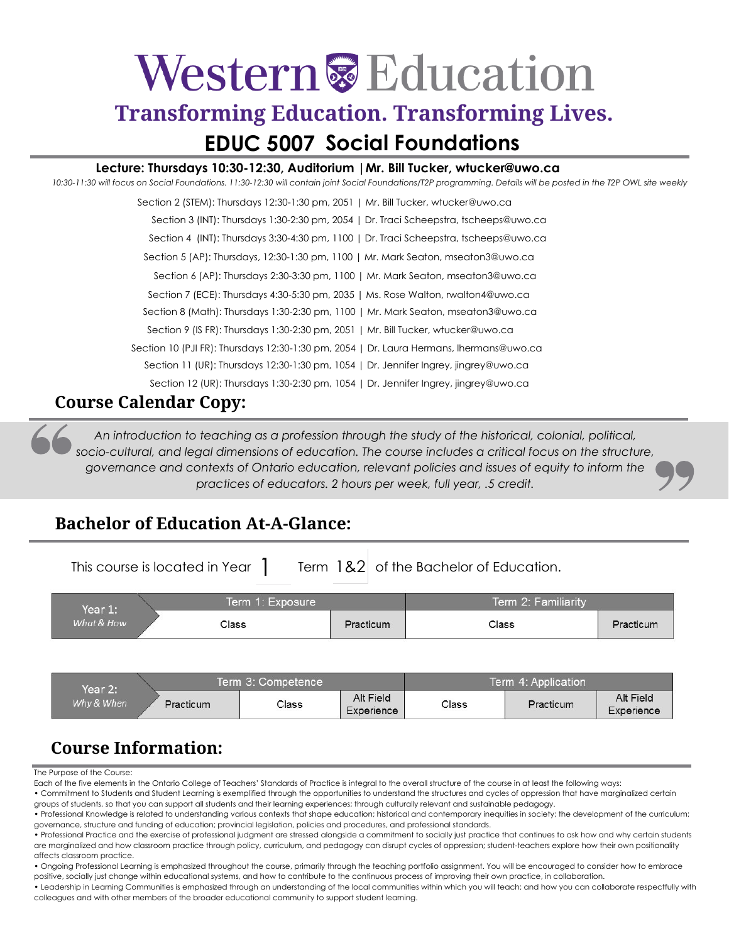# Western & Education

### **Transforming Education. Transforming Lives. EDUC 5007 Social Foundations**

#### **Lecture: Thursdays 10:30-12:30, Auditorium |Mr. Bill Tucker, [wtucker@uwo.ca](mailto:wtucker@uwo.ca)**

*10:30-11:30 will focus on Social Foundations. 11:30-12:30 will contain joint Social Foundations/T2P programming. Details will be posted in the T2P OWL site weekly*

#### **Course Calendar Copy:**

*An introduction to teaching as a profession through the study of the historical, colonial, political,*  socio-cultural, and legal dimensions of education. The course includes a critical focus on the structure, *governance and contexts of Ontario education, relevant policies and issues of equity to inform the practices of educators. 2 hours per week, full year, .5 credit.*

#### **Bachelor of Education At-A-Glance:**

This course is located in Year  $\int$  Term 1&2 of the Bachelor of Education.

| Year 1:    | Term 1: Exposure |           | Term 2: Familiarity |           |
|------------|------------------|-----------|---------------------|-----------|
| What & How | Class            | Practicum | Class               | Practicum |

| Year 2:    |           | Term 3: Competence |                         | Term 4: Application |           |                         |
|------------|-----------|--------------------|-------------------------|---------------------|-----------|-------------------------|
| Why & When | Practicum | Class              | Alt Field<br>Experience | Class               | Practicum | Alt Field<br>Experience |

#### **Course Information:**

The Purpose of the Course:

Each of the five elements in the Ontario College of Teachers' Standards of Practice is integral to the overall structure of the course in at least the following ways:

• Commitment to Students and Student Learning is exemplified through the opportunities to understand the structures and cycles of oppression that have marginalized certain groups of students, so that you can support all students and their learning experiences; through culturally relevant and sustainable pedagogy.

• Professional Knowledge is related to understanding various contexts that shape education; historical and contemporary inequities in society; the development of the curriculum; governance, structure and funding of education; provincial legislation, policies and procedures, and professional standards.

• Ongoing Professional Learning is emphasized throughout the course, primarily through the teaching portfolio assignment. You will be encouraged to consider how to embrace positive, socially just change within educational systems, and how to contribute to the continuous process of improving their own practice, in collaboration.

• Leadership in Learning Communities is emphasized through an understanding of the local communities within which you will teach; and how you can collaborate respectfully with colleagues and with other members of the broader educational community to support student learning.

<sup>•</sup> Professional Practice and the exercise of professional judgment are stressed alongside a commitment to socially just practice that continues to ask how and why certain students are marginalized and how classroom practice through policy, curriculum, and pedagogy can disrupt cycles of oppression; student-teachers explore how their own positionality affects classroom practice.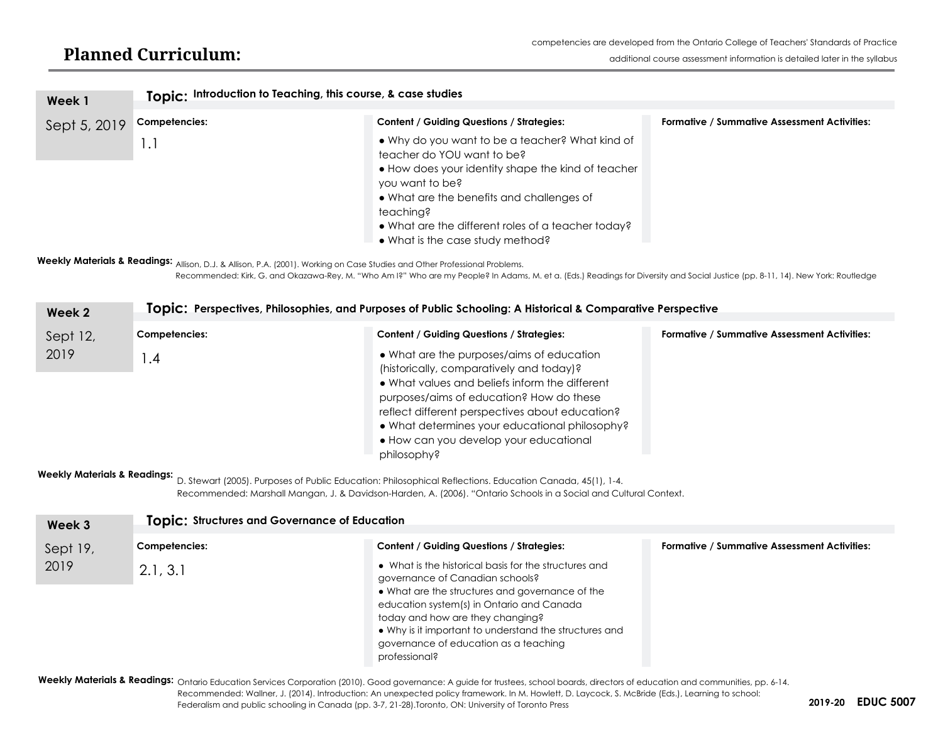| Week 1       | Topic: Introduction to Teaching, this course, & case studies |                                                                                                                                                                                                                                                                                                            |                                                     |  |  |
|--------------|--------------------------------------------------------------|------------------------------------------------------------------------------------------------------------------------------------------------------------------------------------------------------------------------------------------------------------------------------------------------------------|-----------------------------------------------------|--|--|
| Sept 5, 2019 | Competencies:                                                | <b>Content / Guiding Questions / Strategies:</b>                                                                                                                                                                                                                                                           | <b>Formative / Summative Assessment Activities:</b> |  |  |
|              | 1.1                                                          | • Why do you want to be a teacher? What kind of<br>teacher do YOU want to be?<br>• How does your identity shape the kind of teacher<br>you want to be?<br>• What are the benefits and challenges of<br>teaching?<br>• What are the different roles of a teacher today?<br>• What is the case study method? |                                                     |  |  |

**Weekly Materials & Readings:**  Allison, D.J. & Allison, P.A. (2001). Working on Case Studies and Other Professional Problems.

Recommended: Kirk, G. and Okazawa-Rey, M. "Who Am I?" Who are my People? In Adams, M. et a. (Eds.) Readings for Diversity and Social Justice (pp. 8-11, 14). New York: Routledge

| Week 2   | Topic: Perspectives, Philosophies, and Purposes of Public Schooling: A Historical & Comparative Perspective |                                                                                                                                                                                                                                                                                                                                                   |                                                     |  |
|----------|-------------------------------------------------------------------------------------------------------------|---------------------------------------------------------------------------------------------------------------------------------------------------------------------------------------------------------------------------------------------------------------------------------------------------------------------------------------------------|-----------------------------------------------------|--|
| Sept 12, | Competencies:                                                                                               | <b>Content / Guiding Questions / Strategies:</b>                                                                                                                                                                                                                                                                                                  | <b>Formative / Summative Assessment Activities:</b> |  |
| 2019     | $\mathsf{I}$ .4                                                                                             | • What are the purposes/aims of education<br>(historically, comparatively and today)?<br>• What values and beliefs inform the different<br>purposes/aims of education? How do these<br>reflect different perspectives about education?<br>• What determines your educational philosophy?<br>• How can you develop your educational<br>philosophy? |                                                     |  |

**Weekly Materials & Readings:** 

D. Stewart (2005). Purposes of Public Education: Philosophical Reflections. Education Canada, 45(1), 1-4. Recommended: Marshall Mangan, J. & Davidson-Harden, A. (2006). "Ontario Schools in a Social and Cultural Context.

| Week 3   | <b>Topic: Structures and Governance of Education</b> |                                                                                                                                                                                                                                                                                                                                                  |                                                     |  |  |
|----------|------------------------------------------------------|--------------------------------------------------------------------------------------------------------------------------------------------------------------------------------------------------------------------------------------------------------------------------------------------------------------------------------------------------|-----------------------------------------------------|--|--|
| Sept 19, | Competencies:                                        | <b>Content / Guiding Questions / Strategies:</b>                                                                                                                                                                                                                                                                                                 | <b>Formative / Summative Assessment Activities:</b> |  |  |
| 2019     | 2.1, 3.1                                             | • What is the historical basis for the structures and<br>governance of Canadian schools?<br>• What are the structures and governance of the<br>education system(s) in Ontario and Canada<br>today and how are they changing?<br>• Why is it important to understand the structures and<br>governance of education as a teaching<br>professional? |                                                     |  |  |

Weekly Materials & Readings: Ontario Education Services Corporation (2010). Good governance: A guide for trustees, school boards, directors of education and communities, pp. 6-14. Recommended: Wallner, J. (2014). Introduction: An unexpected policy framework. In M. Howlett, D. Laycock, S. McBride (Eds.), Learning to school: Federalism and public schooling in Canada (pp. 3-7, 21-28).Toronto, ON: University of Toronto Press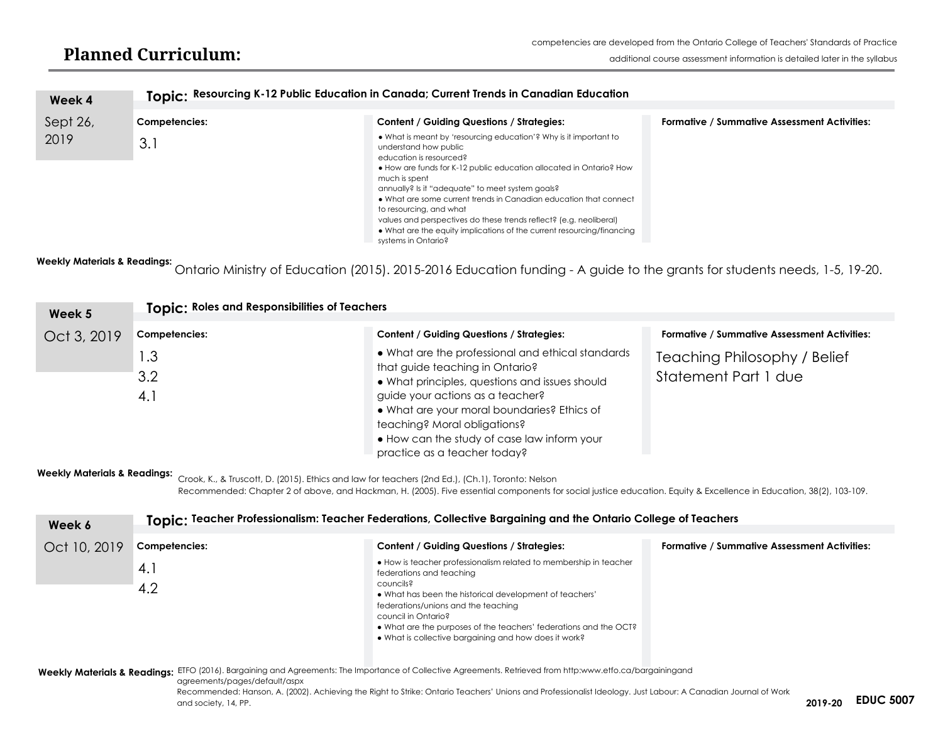#### **Planned Curriculum:**

| Week 4   |               | Topic: Resourcing K-12 Public Education in Canada; Current Trends in Canadian Education                                                                                                                                                                                                                                                                                                                                                                                                                                                  |                                                     |  |  |  |  |
|----------|---------------|------------------------------------------------------------------------------------------------------------------------------------------------------------------------------------------------------------------------------------------------------------------------------------------------------------------------------------------------------------------------------------------------------------------------------------------------------------------------------------------------------------------------------------------|-----------------------------------------------------|--|--|--|--|
|          |               |                                                                                                                                                                                                                                                                                                                                                                                                                                                                                                                                          |                                                     |  |  |  |  |
| Sept 26, | Competencies: | Content / Guiding Questions / Strategies:                                                                                                                                                                                                                                                                                                                                                                                                                                                                                                | <b>Formative / Summative Assessment Activities:</b> |  |  |  |  |
| 2019     | 3.1           | • What is meant by 'resourcing education'? Why is it important to<br>understand how public<br>education is resourced?<br>• How are funds for K-12 public education allocated in Ontario? How<br>much is spent<br>annually? Is it "adequate" to meet system goals?<br>• What are some current trends in Canadian education that connect<br>to resourcing, and what<br>values and perspectives do these trends reflect? (e.g. neoliberal)<br>• What are the equity implications of the current resourcing/financing<br>systems in Ontario? |                                                     |  |  |  |  |

**Weekly Materials & Readings:**  Ontario Ministry of Education (2015). 2015-2016 Education funding - A guide to the grants for students needs, 1-5, 19-20.

| Week 5      | Topic: Roles and Responsibilities of Teachers |                                                                                                                                                                                                                                                                                                                                          |                                                      |  |  |
|-------------|-----------------------------------------------|------------------------------------------------------------------------------------------------------------------------------------------------------------------------------------------------------------------------------------------------------------------------------------------------------------------------------------------|------------------------------------------------------|--|--|
| Oct 3, 2019 | Competencies:                                 | <b>Content / Guiding Questions / Strategies:</b>                                                                                                                                                                                                                                                                                         | <b>Formative / Summative Assessment Activities:</b>  |  |  |
|             | $\overline{3}$<br>3.2<br>4.1                  | • What are the professional and ethical standards<br>that guide teaching in Ontario?<br>. What principles, questions and issues should<br>guide your actions as a teacher?<br>. What are your moral boundaries? Ethics of<br>teaching? Moral obligations?<br>. How can the study of case law inform your<br>practice as a teacher today? | Teaching Philosophy / Belief<br>Statement Part 1 due |  |  |

**Weekly Materials & Readings:**  Crook, K., & Truscott, D. (2015). Ethics and law for teachers (2nd Ed.), (Ch.1), Toronto: Nelson

Recommended: Chapter 2 of above, and Hackman, H. (2005). Five essential components for social justice education. Equity & Excellence in Education, 38(2), 103-109.

| Week 6       | Topic: Teacher Professionalism: Teacher Federations, Collective Bargaining and the Ontario College of Teachers |                                                                                                                                                                                                                                                                                                                                                                   |                                                     |  |  |
|--------------|----------------------------------------------------------------------------------------------------------------|-------------------------------------------------------------------------------------------------------------------------------------------------------------------------------------------------------------------------------------------------------------------------------------------------------------------------------------------------------------------|-----------------------------------------------------|--|--|
| Oct 10, 2019 | Competencies:                                                                                                  | <b>Content / Guiding Questions / Strategies:</b>                                                                                                                                                                                                                                                                                                                  | <b>Formative / Summative Assessment Activities:</b> |  |  |
|              | 4. l<br>4.2                                                                                                    | • How is teacher professionalism related to membership in teacher<br>federations and teaching<br>councils?<br>• What has been the historical development of teachers'<br>federations/unions and the teaching<br>council in Ontario?<br>• What are the purposes of the teachers' federations and the OCT?<br>• What is collective bargaining and how does it work? |                                                     |  |  |
|              |                                                                                                                | $ETEQ (201/1)$ Remaining and Agreements: The Impertance of Collective Agreements, Retrieved from http://www.etfe.ca/bergeiningered                                                                                                                                                                                                                                |                                                     |  |  |

**Weekly Materials & Readings:**  ETFO (2016). Bargaining and Agreements: The Importance of Collective Agreements. Retrieved from http[:www.etfo.ca/bargainingand](http://www.etfo.ca/bargainingand) 

agreements/pages/default/aspx

**2019-20** and society, 14, PP. **EDUC 5007**Recommended: Hanson, A. (2002). Achieving the Right to Strike: Ontario Teachers' Unions and Professionalist Ideology. Just Labour: A Canadian Journal of Work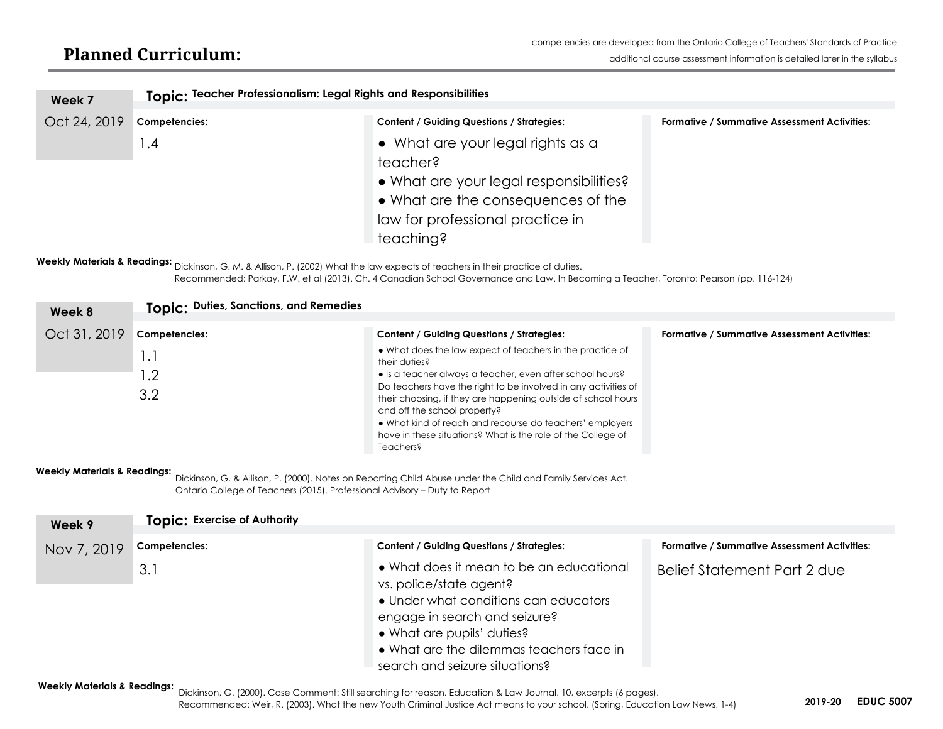| Topic: Teacher Professionalism: Legal Rights and Responsibilities |                                         |                                                                                                                            |  |
|-------------------------------------------------------------------|-----------------------------------------|----------------------------------------------------------------------------------------------------------------------------|--|
|                                                                   |                                         |                                                                                                                            |  |
|                                                                   |                                         | <b>Formative / Summative Assessment Activities:</b>                                                                        |  |
| $\cdot$ .4                                                        | • What are your legal rights as a       |                                                                                                                            |  |
|                                                                   | teacher?                                |                                                                                                                            |  |
|                                                                   | • What are your legal responsibilities? |                                                                                                                            |  |
|                                                                   |                                         |                                                                                                                            |  |
|                                                                   |                                         |                                                                                                                            |  |
|                                                                   | teaching?                               |                                                                                                                            |  |
|                                                                   | Competencies:                           | <b>Content / Guiding Questions / Strategies:</b><br>• What are the consequences of the<br>law for professional practice in |  |

**Weekly Materials & Readings:**  Dickinson, G. M. & Allison, P. (2002) What the law expects of teachers in their practice of duties. Recommended: Parkay, F.W. et al (2013). Ch. 4 Canadian School Governance and Law. In Becoming a Teacher, Toronto: Pearson (pp. 116-124)

| Week 8       | Topic: Duties, Sanctions, and Remedies |                                                                                                                                                                                                                                                                                                                                                                                                                                                     |                                                     |
|--------------|----------------------------------------|-----------------------------------------------------------------------------------------------------------------------------------------------------------------------------------------------------------------------------------------------------------------------------------------------------------------------------------------------------------------------------------------------------------------------------------------------------|-----------------------------------------------------|
| Oct 31, 2019 | Competencies:                          | <b>Content / Guiding Questions / Strategies:</b>                                                                                                                                                                                                                                                                                                                                                                                                    | <b>Formative / Summative Assessment Activities:</b> |
|              | 1.1<br>$\cdot$ .2<br>3.2               | • What does the law expect of teachers in the practice of<br>their duties?<br>• Is a teacher always a teacher, even after school hours?<br>Do teachers have the right to be involved in any activities of<br>their choosing, if they are happening outside of school hours<br>and off the school property?<br>• What kind of reach and recourse do teachers' employers<br>have in these situations? What is the role of the College of<br>Teachers? |                                                     |

#### **Weekly Materials & Readings:**

Dickinson, G. & Allison, P. (2000). Notes on Reporting Child Abuse under the Child and Family Services Act. Ontario College of Teachers (2015). Professional Advisory – Duty to Report

| Week 9      | <b>Topic: Exercise of Authority</b> |                                                                                                                                                                                                                                                           |                                                     |  |  |
|-------------|-------------------------------------|-----------------------------------------------------------------------------------------------------------------------------------------------------------------------------------------------------------------------------------------------------------|-----------------------------------------------------|--|--|
| Nov 7, 2019 | Competencies:                       | <b>Content / Guiding Questions / Strategies:</b>                                                                                                                                                                                                          | <b>Formative / Summative Assessment Activities:</b> |  |  |
|             | 3.1                                 | • What does it mean to be an educational<br>vs. police/state agent?<br>• Under what conditions can educators<br>engage in search and seizure?<br>• What are pupils' duties?<br>• What are the dilemmas teachers face in<br>search and seizure situations? | Belief Statement Part 2 due                         |  |  |

**Weekly Materials & Readings:**  Dickinson, G. (2000). Case Comment: Still searching for reason. Education & Law Journal, 10, excerpts (6 pages).

Recommended: Weir, R. (2003). What the new Youth Criminal Justice Act means to your school. (Spring, Education Law News, 1-4) **EDUC 5007**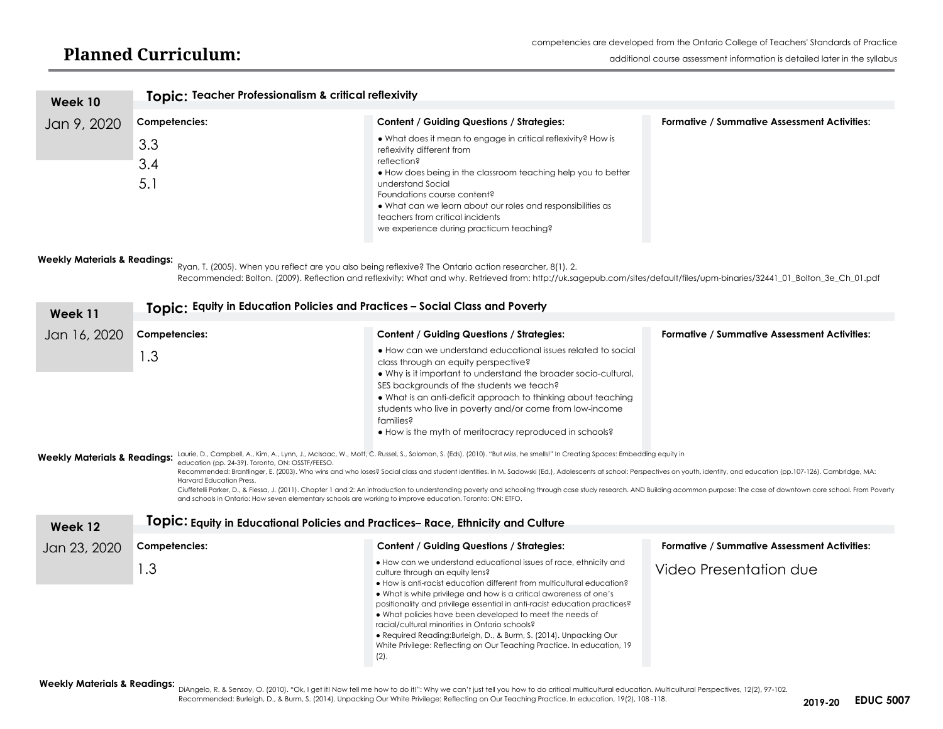#### **Planned Curriculum:**

| Week 10                                                                                                                                       | Topic: Teacher Professionalism & critical reflexivity |                                                                                                                                                                                                                                                                                                                                                                                |                                                     |  |
|-----------------------------------------------------------------------------------------------------------------------------------------------|-------------------------------------------------------|--------------------------------------------------------------------------------------------------------------------------------------------------------------------------------------------------------------------------------------------------------------------------------------------------------------------------------------------------------------------------------|-----------------------------------------------------|--|
| Jan 9, 2020                                                                                                                                   | Competencies:                                         | <b>Content / Guiding Questions / Strategies:</b>                                                                                                                                                                                                                                                                                                                               | <b>Formative / Summative Assessment Activities:</b> |  |
|                                                                                                                                               | 3.3<br>3.4<br>5.1                                     | • What does it mean to engage in critical reflexivity? How is<br>reflexivity different from<br>reflection?<br>• How does being in the classroom teaching help you to better<br>understand Social<br>Foundations course content?<br>• What can we learn about our roles and responsibilities as<br>teachers from critical incidents<br>we experience during practicum teaching? |                                                     |  |
| <b>Weekly Materials &amp; Readings:</b><br>Buggetter 19005) Whom vousedoot are vou also boing reflexive? The Ontario action researcher 0/11.0 |                                                       |                                                                                                                                                                                                                                                                                                                                                                                |                                                     |  |

Ryan, T. (2005). When you reflect are you also being reflexive? The Ontario action researcher, 8(1), 2. Recommended: Bolton. (2009). Reflection and reflexivity: What and why. Retrieved from: [http://uk.sagepub.com/sites/default/files/upm-binaries/32441\\_01\\_Bolton\\_3e\\_Ch\\_01.pdf](http://uk.sagepub.com/sites/default/files/upm-binaries/32441_01_Bolton_3e_Ch_01.pdf)

| Week 11                                            | Topic: Equity in Education Policies and Practices - Social Class and Poverty                                                                                                                                                                                                                                                                                                                                                                                                                                                                                                                                                                                                                                                                                                                                                                                                                                                    |                                                                                                                                                                                                                                                                                                                                                                                                                                                                                                                                                                                                         |                                                     |  |  |
|----------------------------------------------------|---------------------------------------------------------------------------------------------------------------------------------------------------------------------------------------------------------------------------------------------------------------------------------------------------------------------------------------------------------------------------------------------------------------------------------------------------------------------------------------------------------------------------------------------------------------------------------------------------------------------------------------------------------------------------------------------------------------------------------------------------------------------------------------------------------------------------------------------------------------------------------------------------------------------------------|---------------------------------------------------------------------------------------------------------------------------------------------------------------------------------------------------------------------------------------------------------------------------------------------------------------------------------------------------------------------------------------------------------------------------------------------------------------------------------------------------------------------------------------------------------------------------------------------------------|-----------------------------------------------------|--|--|
| Jan 16, 2020                                       | Competencies:                                                                                                                                                                                                                                                                                                                                                                                                                                                                                                                                                                                                                                                                                                                                                                                                                                                                                                                   | <b>Content / Guiding Questions / Strategies:</b>                                                                                                                                                                                                                                                                                                                                                                                                                                                                                                                                                        | <b>Formative / Summative Assessment Activities:</b> |  |  |
|                                                    | 1.3                                                                                                                                                                                                                                                                                                                                                                                                                                                                                                                                                                                                                                                                                                                                                                                                                                                                                                                             | • How can we understand educational issues related to social<br>class through an equity perspective?<br>• Why is it important to understand the broader socio-cultural,<br>SES backgrounds of the students we teach?<br>• What is an anti-deficit approach to thinking about teaching<br>students who live in poverty and/or come from low-income<br>families?<br>• How is the myth of meritocracy reproduced in schools?                                                                                                                                                                               |                                                     |  |  |
| <b>Weekly Materials &amp; Readings:</b><br>Week 12 | Laurie, D., Campbell, A., Kim, A., Lynn, J., McIsaac, W., Mott, C. Russel, S., Solomon, S. (Eds). (2010). "But Miss, he smells!" In Creating Spaces: Embedding equity in<br>education (pp. 24-39). Toronto, ON: OSSTF/FEESO.<br>Recommended: Brantlinger, E. (2003). Who wins and who loses? Social class and student identities. In M. Sadowski (Ed.), Adolescents at school: Perspectives on youth, identity, and education (pp.107-126). Cambridge, MA:<br><b>Harvard Education Press.</b><br>Ciuffetelli Parker, D., & Flessa, J. (2011). Chapter 1 and 2: An introduction to understanding poverty and schooling through case study research. AND Building acommon purpose: The case of downtown core school. From Poverty<br>and schools in Ontario: How seven elementary schools are working to improve education. Toronto: ON: ETFO.<br>TOPIC: Equity in Educational Policies and Practices-Race, Ethnicity and Culture |                                                                                                                                                                                                                                                                                                                                                                                                                                                                                                                                                                                                         |                                                     |  |  |
| Jan 23, 2020                                       | Competencies:                                                                                                                                                                                                                                                                                                                                                                                                                                                                                                                                                                                                                                                                                                                                                                                                                                                                                                                   | <b>Content / Guiding Questions / Strategies:</b>                                                                                                                                                                                                                                                                                                                                                                                                                                                                                                                                                        | <b>Formative / Summative Assessment Activities:</b> |  |  |
|                                                    | 1.3                                                                                                                                                                                                                                                                                                                                                                                                                                                                                                                                                                                                                                                                                                                                                                                                                                                                                                                             | . How can we understand educational issues of race, ethnicity and<br>culture through an equity lens?<br>• How is anti-racist education different from multicultural education?<br>. What is white privilege and how is a critical awareness of one's<br>positionality and privilege essential in anti-racist education practices?<br>• What policies have been developed to meet the needs of<br>racial/cultural minorities in Ontario schools?<br>· Required Reading: Burleigh, D., & Burm, S. (2014). Unpacking Our<br>White Privilege: Reflecting on Our Teaching Practice. In education, 19<br>(2). | Video Presentation due                              |  |  |

Weekly Materials & Readings:<br>DiAngelo, R. & Sensoy, O. (2010). "Ok, I get it! Now tell me how to do it!": Why we can't just tell you how to do critical multicultural education. Multicultural Perspectives, 12(2), 97-102.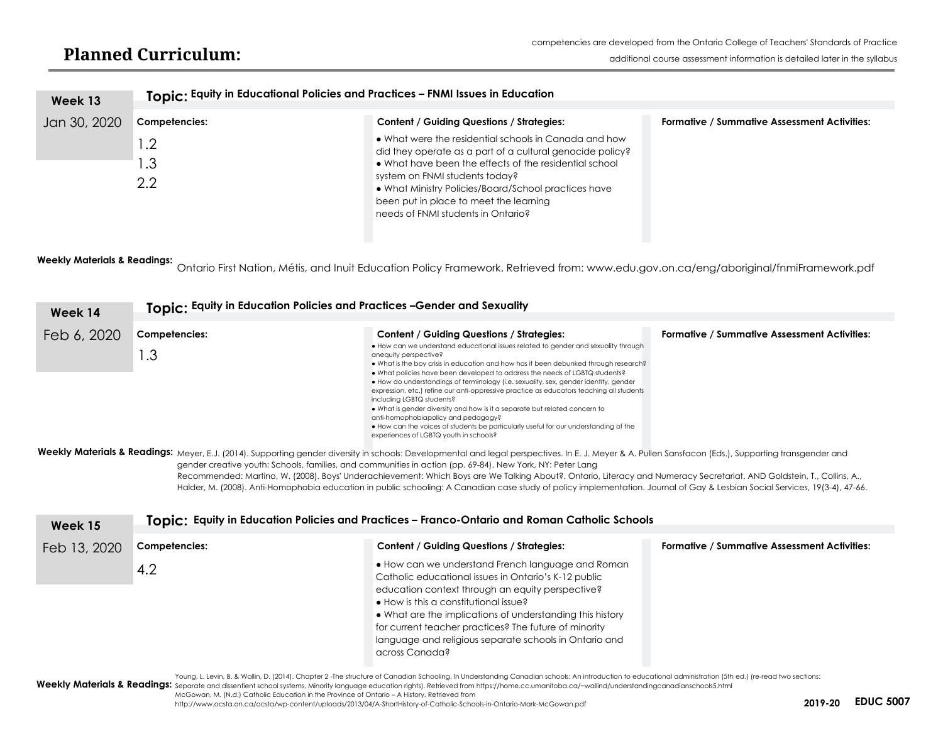| Week 13      | Topic: Equity in Educational Policies and Practices - FNMI Issues in Education |                                                                                                                                                                                                                                                                                                                                                        |                                                     |
|--------------|--------------------------------------------------------------------------------|--------------------------------------------------------------------------------------------------------------------------------------------------------------------------------------------------------------------------------------------------------------------------------------------------------------------------------------------------------|-----------------------------------------------------|
| Jan 30, 2020 | Competencies:                                                                  | <b>Content / Guiding Questions / Strategies:</b>                                                                                                                                                                                                                                                                                                       | <b>Formative / Summative Assessment Activities:</b> |
|              | $\overline{\phantom{0}}$ .<br>.3<br>$2.2\phantom{0}$                           | • What were the residential schools in Canada and how<br>did they operate as a part of a cultural genocide policy?<br>• What have been the effects of the residential school<br>system on FNMI students today?<br>• What Ministry Policies/Board/School practices have<br>been put in place to meet the learning<br>needs of FNMI students in Ontario? |                                                     |

**Weekly Materials & Readings:**  Ontario First Nation, Métis, and Inuit Education Policy Framework. Retrieved from: [www.edu.gov.on.ca/eng/aboriginal/fnmiFramework.pdf](http://www.edu.gov.on.ca/eng/aboriginal/fnmiFramework.pdf)

| Week 14                                                                                                                                                                                                                                                                                                                                                                                                                                                                                                                                                                                                                                                                                                                                                                         | Topic: Equity in Education Policies and Practices -Gender and Sexuality |                                                                                                                                                                                                                                                                                                                                                                                                                                                                                                                                                                                                                                                                                                                                                            |                                                     |
|---------------------------------------------------------------------------------------------------------------------------------------------------------------------------------------------------------------------------------------------------------------------------------------------------------------------------------------------------------------------------------------------------------------------------------------------------------------------------------------------------------------------------------------------------------------------------------------------------------------------------------------------------------------------------------------------------------------------------------------------------------------------------------|-------------------------------------------------------------------------|------------------------------------------------------------------------------------------------------------------------------------------------------------------------------------------------------------------------------------------------------------------------------------------------------------------------------------------------------------------------------------------------------------------------------------------------------------------------------------------------------------------------------------------------------------------------------------------------------------------------------------------------------------------------------------------------------------------------------------------------------------|-----------------------------------------------------|
| Feb 6, 2020                                                                                                                                                                                                                                                                                                                                                                                                                                                                                                                                                                                                                                                                                                                                                                     | Competencies:                                                           | <b>Content / Guiding Questions / Strategies:</b>                                                                                                                                                                                                                                                                                                                                                                                                                                                                                                                                                                                                                                                                                                           | <b>Formative / Summative Assessment Activities:</b> |
| ∣.3                                                                                                                                                                                                                                                                                                                                                                                                                                                                                                                                                                                                                                                                                                                                                                             |                                                                         | • How can we understand educational issues related to gender and sexuality through<br>anequity perspective?<br>• What is the boy crisis in education and how has it been debunked through research?<br>• What policies have been developed to address the needs of LGBTQ students?<br>• How do understandings of terminology (i.e. sexuality, sex, gender identity, gender<br>expression, etc.) refine our anti-oppressive practice as educators teaching all students<br>including LGBTQ students?<br>• What is gender diversity and how is it a separate but related concern to<br>anti-homophobiapolicy and pedagogy?<br>• How can the voices of students be particularly useful for our understanding of the<br>experiences of LGBTQ youth in schools? |                                                     |
| Weekly Materials & Readings: Meyer, E.J. (2014). Supporting gender diversity in schools: Developmental and legal perspectives. In E. J. Meyer & A. Pullen Sansfacon (Eds.), Supporting transgender and<br>gender creative youth: Schools, families, and communities in action (pp. 69-84). New York, NY: Peter Lang<br>Recommended: Martino, W. (2008). Boys' Underachievement: Which Boys are We Talking About?. Ontario, Literacy and Numeracy Secretariat. AND Goldstein, T., Collins, A.,<br>Halder, M. (2008). Anti-Homophobia education in public schooling: A Canadian case study of policy implementation. Journal of Gay & Lesbian Social Services, 19(3-4), 47-66.<br>Tenier Faulkijn Faluealian Balisias and Baneliaes - Fannon Ontario and Bancan Calleglia Calcele |                                                                         |                                                                                                                                                                                                                                                                                                                                                                                                                                                                                                                                                                                                                                                                                                                                                            |                                                     |

| Week 15      |               | Topic: Equity in Education Policies and Practices - Franco-Ontario and Roman Catholic Schools                                                                                                                                                                                                                                                                                                                    |                                                     |  |  |
|--------------|---------------|------------------------------------------------------------------------------------------------------------------------------------------------------------------------------------------------------------------------------------------------------------------------------------------------------------------------------------------------------------------------------------------------------------------|-----------------------------------------------------|--|--|
| Feb 13, 2020 | Competencies: | <b>Content / Guiding Questions / Strategies:</b>                                                                                                                                                                                                                                                                                                                                                                 | <b>Formative / Summative Assessment Activities:</b> |  |  |
|              | 4.2           | • How can we understand French language and Roman<br>Catholic educational issues in Ontario's K-12 public<br>education context through an equity perspective?<br>$\bullet$ How is this a constitutional issue?<br>• What are the implications of understanding this history<br>for current teacher practices? The future of minority<br>language and religious separate schools in Ontario and<br>across Canada? |                                                     |  |  |
|              |               | Young, L. Levin, B. & Wallin, D. (2014). Chapter 2 -The structure of Canadian Schooling. In Understanding Canadian schools: An introduction to educational administration (5th ed.) (re-read two sections:<br>Weekly Materials & Readings: Separate and dissentient school systems, Minority language education rights). Retrieved from https://home.cc.umanitoba.ca/~wallind/understandingcanadianschools5.html |                                                     |  |  |

McGowan, M. (N.d.) Catholic Education in the Province of Ontario – A History. Retrieved from

<http://www.ocsta.on.ca/ocsta/wp-content/uploads/2013/04/A-ShortHistory-of-Catholic-Schools-in-Ontario-Mark-McGowan.pdf> **EDUC 5007**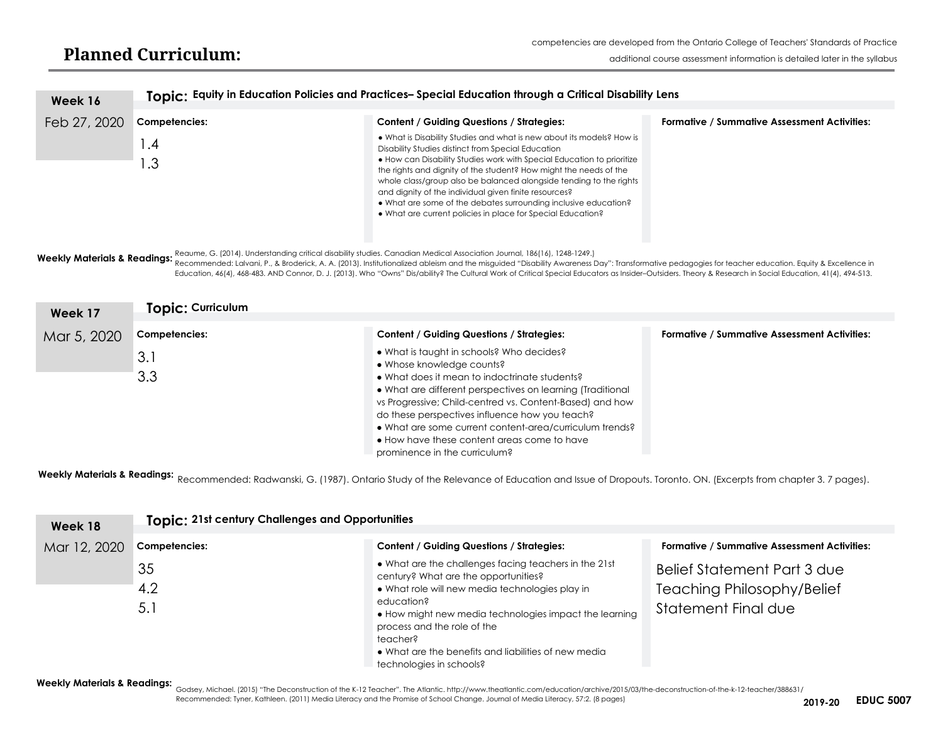| Week 16      |                                                                                                        |                                                                                                                                                                                                                                                                                                                                                                                                                                                                                                                                             |                                                     |  |
|--------------|--------------------------------------------------------------------------------------------------------|---------------------------------------------------------------------------------------------------------------------------------------------------------------------------------------------------------------------------------------------------------------------------------------------------------------------------------------------------------------------------------------------------------------------------------------------------------------------------------------------------------------------------------------------|-----------------------------------------------------|--|
|              | Topic: Equity in Education Policies and Practices-Special Education through a Critical Disability Lens |                                                                                                                                                                                                                                                                                                                                                                                                                                                                                                                                             |                                                     |  |
| Feb 27, 2020 | Competencies:                                                                                          | Content / Guiding Questions / Strategies:                                                                                                                                                                                                                                                                                                                                                                                                                                                                                                   | <b>Formative / Summative Assessment Activities:</b> |  |
|              | $\mathbf{.4}$<br>.3                                                                                    | . What is Disability Studies and what is new about its models? How is<br>Disability Studies distinct from Special Education<br>• How can Disability Studies work with Special Education to prioritize<br>the rights and dignity of the student? How might the needs of the<br>whole class/group also be balanced alongside tending to the rights<br>and dignity of the individual given finite resources?<br>• What are some of the debates surrounding inclusive education?<br>• What are current policies in place for Special Education? |                                                     |  |

**Weekly Materials & Readings:** Reaume, G. (2014). Understanding critical disability studies. Canadian Medical Association Journal, 186(16), 1248-1249.<br>Weekly Materials & Readings: Becameros Calcul Internal, D. 8 Breatagely Recommended: Lalvani, P., & Broderick, A. A. (2013). Institutionalized ableism and the misguided "Disability Awareness Day": Transformative pedagogies for teacher education. Equity & Excellence in

Education, 46(4), 468-483. AND Connor, D. J. (2013). Who "Owns" Dis/ability? The Cultural Work of Critical Special Educators as Insider–Outsiders. Theory & Research in Social Education, 41(4), 494-513.

| Week 17     | Topic: Curriculum |                                                                                                                                                                                                                                                                                                                                                                                                                                                |                                                     |  |  |
|-------------|-------------------|------------------------------------------------------------------------------------------------------------------------------------------------------------------------------------------------------------------------------------------------------------------------------------------------------------------------------------------------------------------------------------------------------------------------------------------------|-----------------------------------------------------|--|--|
| Mar 5, 2020 | Competencies:     | <b>Content / Guiding Questions / Strategies:</b>                                                                                                                                                                                                                                                                                                                                                                                               | <b>Formative / Summative Assessment Activities:</b> |  |  |
|             | 3.1<br>3.3        | • What is taught in schools? Who decides?<br>• Whose knowledge counts?<br>• What does it mean to indoctrinate students?<br>• What are different perspectives on learning (Traditional<br>vs Progressive; Child-centred vs. Content-Based) and how<br>do these perspectives influence how you teach?<br>• What are some current content-area/curriculum trends?<br>• How have these content areas come to have<br>prominence in the curriculum? |                                                     |  |  |

**Weekly Materials & Readings:**  Recommended: Radwanski, G. (1987). Ontario Study of the Relevance of Education and Issue of Dropouts. Toronto. ON. (Excerpts from chapter 3. 7 pages).

|                         | <b>Topic: 21st century Challenges and Opportunities</b> |                                                                                                                                                                                                                    |                                                                                                                                                |  |
|-------------------------|---------------------------------------------------------|--------------------------------------------------------------------------------------------------------------------------------------------------------------------------------------------------------------------|------------------------------------------------------------------------------------------------------------------------------------------------|--|
| Week 18<br>Mar 12, 2020 | Competencies:<br>35<br>4.2<br>5.1                       | <b>Content / Guiding Questions / Strategies:</b><br>• What are the challenges facing teachers in the 21st<br>century? What are the opportunities?<br>• What role will new media technologies play in<br>education? | <b>Formative / Summative Assessment Activities:</b><br>Belief Statement Part 3 due<br><b>Teaching Philosophy/Belief</b><br>Statement Final due |  |
|                         |                                                         | • How might new media technologies impact the learning<br>process and the role of the<br>teacher?<br>• What are the benefits and liabilities of new media<br>technologies in schools?                              |                                                                                                                                                |  |

#### **Weekly Materials & Readings:**

Godsey, Michael. (2015) "The Deconstruction of the K-12 Teacher". The Atlantic.<http://www.theatlantic.com/education/archive/2015/03/the-deconstruction-of-the-k-12-teacher/388631/> Recommended: Tyner, Kathleen. (2011) Media Literacy and the Promise of School Change. Journal of Media Literacy, 57:2. (8 pages) **EDUC 5007**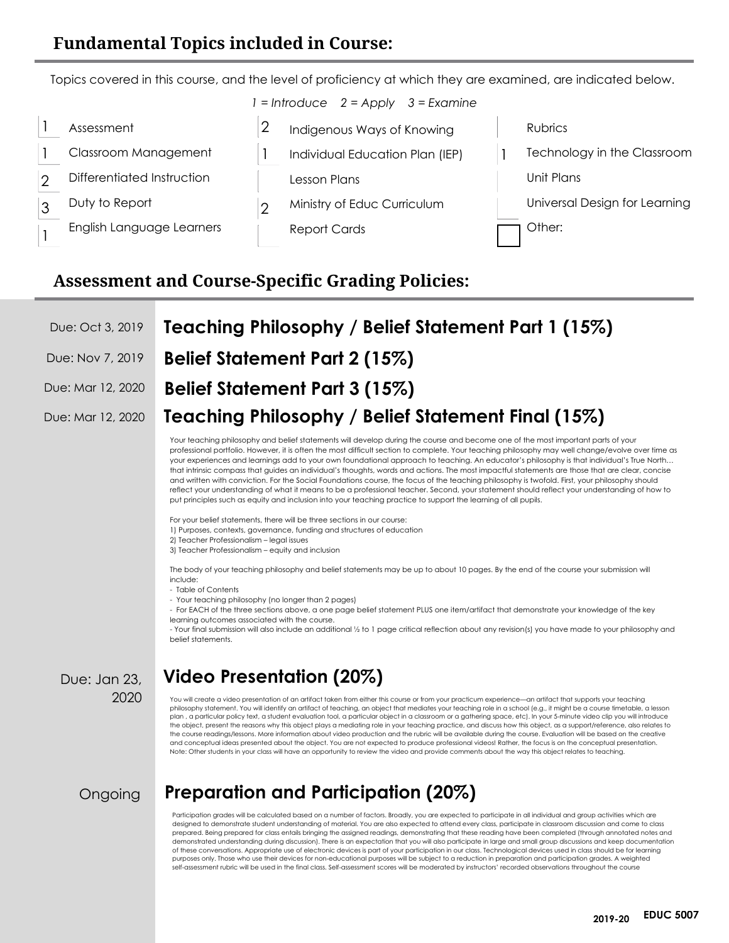#### **Fundamental Topics included in Course:**

Topics covered in this course, and the level of proficiency at which they are examined, are indicated below. *1 = Introduce 2 = Apply 3 = Examine*

|  | Assessment                 | Indigenous Ways of Knowing      | Rubrics                       |
|--|----------------------------|---------------------------------|-------------------------------|
|  | Classroom Management       | Individual Education Plan (IEP) | Technology in the Classroom   |
|  | Differentiated Instruction | Lesson Plans                    | Unit Plans                    |
|  | Duty to Report             | Ministry of Educ Curriculum     | Universal Design for Learning |
|  | English Language Learners  | <b>Report Cards</b>             | Other:                        |
|  |                            |                                 |                               |

#### **Assessment and Course-Specific Grading Policies:**

|  |  | Due: Oct 3, 2019 Teaching Philosophy / Belief Statement Part 1 (15%) |
|--|--|----------------------------------------------------------------------|
|--|--|----------------------------------------------------------------------|

- Due: Nov 7, 2019 **Belief Statement Part 2 (15%)**
- Due: Mar 12, 2020 **Belief Statement Part 3 (15%)**

#### Due: Mar 12, 2020 **Teaching Philosophy / Belief Statement Final (15%)**

Your teaching philosophy and belief statements will develop during the course and become one of the most important parts of your professional portfolio. However, it is often the most difficult section to complete. Your teaching philosophy may well change/evolve over time as your experiences and learnings add to your own foundational approach to teaching. An educator's philosophy is that individual's True North… that intrinsic compass that guides an individual's thoughts, words and actions. The most impactful statements are those that are clear, concise and written with conviction. For the Social Foundations course, the focus of the teaching philosophy is twofold. First, your philosophy should reflect your understanding of what it means to be a professional teacher. Second, your statement should reflect your understanding of how to put principles such as equity and inclusion into your teaching practice to support the learning of all pupils.

For your belief statements, there will be three sections in our course:

1) Purposes, contexts, governance, funding and structures of education

- 2) Teacher Professionalism legal issues
- 3) Teacher Professionalism equity and inclusion

The body of your teaching philosophy and belief statements may be up to about 10 pages. By the end of the course your submission will include:

- Table of Contents
- Your teaching philosophy (no longer than 2 pages)

- For EACH of the three sections above, a one page belief statement PLUS one item/artifact that demonstrate your knowledge of the key learning outcomes associated with the course.

- Your final submission will also include an additional ½ to 1 page critical reflection about any revision(s) you have made to your philosophy and belief statements.

Due: Jan 23,

## <sup>2020</sup> **Video Presentation (20%)**

You will create a video presentation of an artifact taken from either this course or from your practicum experience—an artifact that supports your teaching philosophy statement. You will identify an artifact of teaching, an object that mediates your teaching role in a school (e.g., it might be a course timetable, a lesson plan , a particular policy text, a student evaluation tool, a particular object in a classroom or a gathering space, etc). In your 5-minute video clip you will introduce the object, present the reasons why this object plays a mediating role in your teaching practice, and discuss how this object, as a support/reference, also relates to the course readings/lessons. More information about video production and the rubric will be available during the course. Evaluation will be based on the creative and conceptual ideas presented about the object. You are not expected to produce professional videos! Rather, the focus is on the conceptual presentation. Note: Other students in your class will have an opportunity to review the video and provide comments about the way this object relates to teaching.

**Ongoing** 

### **Preparation and Participation (20%)**

Participation grades will be calculated based on a number of factors. Broadly, you are expected to participate in all individual and group activities which are designed to demonstrate student understanding of material. You are also expected to attend every class, participate in classroom discussion and come to class prepared. Being prepared for class entails bringing the assigned readings, demonstrating that these reading have been completed (through annotated notes and demonstrated understanding during discussion). There is an expectation that you will also participate in large and small group discussions and keep documentation of these conversations. Appropriate use of electronic devices is part of your participation in our class. Technological devices used in class should be for learning<br>purposes only. Those who use their devices for non-educat self-assessment rubric will be used in the final class. Self-assessment scores will be moderated by instructors' recorded observations throughout the course